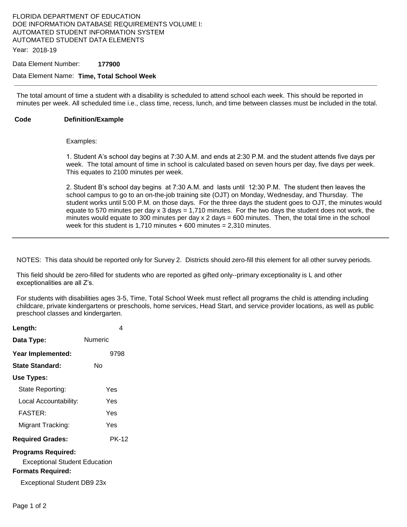## FLORIDA DEPARTMENT OF EDUCATION DOE INFORMATION DATABASE REQUIREMENTS VOLUME I: AUTOMATED STUDENT INFORMATION SYSTEM AUTOMATED STUDENT DATA ELEMENTS

Year: 2018-19

#### Data Element Number: **177900**

#### Data Element Name: **Time, Total School Week**

The total amount of time a student with a disability is scheduled to attend school each week. This should be reported in minutes per week. All scheduled time i.e., class time, recess, lunch, and time between classes must be included in the total.

#### **Code Definition/Example**

#### Examples:

1. Student A's school day begins at 7:30 A.M. and ends at 2:30 P.M. and the student attends five days per week. The total amount of time in school is calculated based on seven hours per day, five days per week. This equates to 2100 minutes per week.

2. Student B's school day begins at 7:30 A.M. and lasts until 12:30 P.M. The student then leaves the school campus to go to an on-the-job training site (OJT) on Monday, Wednesday, and Thursday. The student works until 5:00 P.M. on those days. For the three days the student goes to OJT, the minutes would equate to 570 minutes per day x 3 days = 1,710 minutes. For the two days the student does not work, the minutes would equate to 300 minutes per day  $x$  2 days = 600 minutes. Then, the total time in the school week for this student is 1,710 minutes  $+600$  minutes = 2,310 minutes.

NOTES: This data should be reported only for Survey 2. Districts should zero-fill this element for all other survey periods.

This field should be zero-filled for students who are reported as gifted only--primary exceptionality is L and other exceptionalities are all Z's.

For students with disabilities ages 3-5, Time, Total School Week must reflect all programs the child is attending including childcare, private kindergartens or preschools, home services, Head Start, and service provider locations, as well as public preschool classes and kindergarten.

| Length:                                                           |         | 4     |
|-------------------------------------------------------------------|---------|-------|
| Data Type:                                                        | Numeric |       |
| Year Implemented:                                                 |         | 9798  |
| State Standard:                                                   | N٥      |       |
| Use Types:                                                        |         |       |
| State Reporting:                                                  |         | Yes   |
| Local Accountability:                                             |         | Yes   |
| <b>FASTER:</b>                                                    |         | Yes   |
| Migrant Tracking:                                                 |         | Yes   |
| <b>Required Grades:</b>                                           |         | PK-12 |
| <b>Programs Required:</b><br><b>Exceptional Student Education</b> |         |       |
|                                                                   |         |       |

#### **Formats Required:**

Exceptional Student DB9 23x